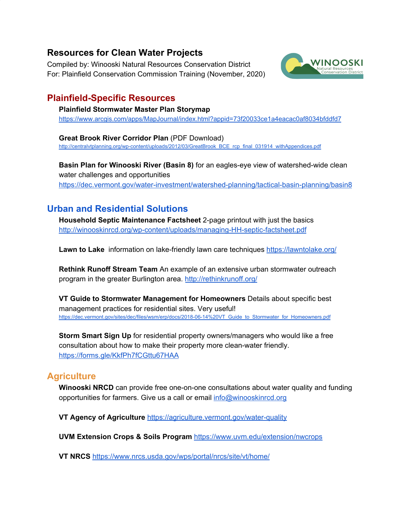### **Resources for Clean Water Projects**

Compiled by: Winooski Natural Resources Conservation District For: Plainfield Conservation Commission Training (November, 2020)



### **Plainfield-Specific Resources**

**Plainfield Stormwater Master Plan Storymap** <https://www.arcgis.com/apps/MapJournal/index.html?appid=73f20033ce1a4eacac0af8034bfddfd7>

**Great Brook River Corridor Plan** (PDF Download) [http://centralvtplanning.org/wp-content/uploads/2012/03/GreatBrook\\_BCE\\_rcp\\_final\\_031914\\_withAppendices.pdf](http://centralvtplanning.org/wp-content/uploads/2012/03/GreatBrook_BCE_rcp_final_031914_withAppendices.pdf)

**Basin Plan for Winooski River (Basin 8)** for an eagles-eye view of watershed-wide clean water challenges and opportunities <https://dec.vermont.gov/water-investment/watershed-planning/tactical-basin-planning/basin8>

# **Urban and Residential Solutions**

**Household Septic Maintenance Factsheet** 2-page printout with just the basics <http://winooskinrcd.org/wp-content/uploads/managing-HH-septic-factsheet.pdf>

**Lawn to Lake** information on lake-friendly lawn care techniques <https://lawntolake.org/>

**Rethink Runoff Stream Team** An example of an extensive urban stormwater outreach program in the greater Burlington area. <http://rethinkrunoff.org/>

**VT Guide to Stormwater Management for Homeowners** Details about specific best management practices for residential sites. Very useful! [https://dec.vermont.gov/sites/dec/files/wsm/erp/docs/2018-06-14%20VT\\_Guide\\_to\\_Stormwater\\_for\\_Homeowners.pdf](https://dec.vermont.gov/sites/dec/files/wsm/erp/docs/2018-06-14%20VT_Guide_to_Stormwater_for_Homeowners.pdf)

**Storm Smart Sign Up** for residential property owners/managers who would like a free consultation about how to make their property more clean-water friendly. <https://forms.gle/KkfPh7fCGttu67HAA>

## **Agriculture**

**Winooski NRCD** can provide free one-on-one consultations about water quality and funding opportunities for farmers. Give us a call or email [info@winooskinrcd.org](mailto:info@winooskinrcd.org)

**VT Agency of Agriculture** <https://agriculture.vermont.gov/water-quality>

**UVM Extension Crops & Soils Program** <https://www.uvm.edu/extension/nwcrops>

**VT NRCS** <https://www.nrcs.usda.gov/wps/portal/nrcs/site/vt/home/>